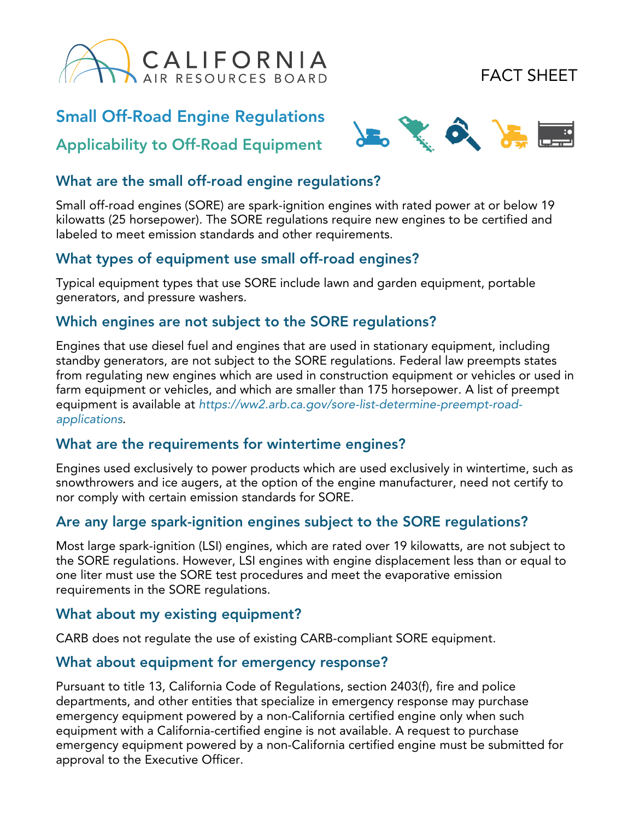

# FACT SHEET

## Small Off-Road Engine Regulations

## Applicability to Off-Road Equipment



### What are the small off-road engine regulations?

Small off-road engines (SORE) are spark-ignition engines with rated power at or below 19 kilowatts (25 horsepower). The SORE regulations require new engines to be certified and labeled to meet emission standards and other requirements.

### What types of equipment use small off-road engines?

Typical equipment types that use SORE include lawn and garden equipment, portable generators, and pressure washers.

#### Which engines are not subject to the SORE regulations?

Engines that use diesel fuel and engines that are used in stationary equipment, including standby generators, are not subject to the SORE regulations. Federal law preempts states from regulating new engines which are used in construction equipment or vehicles or used in farm equipment or vehicles, and which are smaller than 175 horsepower. A list of preempt equipment is available at [https://ww2.arb.ca.gov/sore-list-determine-pree](https://ww2.arb.ca.gov/sore-list-determine-preempt-road-applications)mpt-roadapplications.

### What are the requirements for wintertime engines?

Engines used exclusively to power products which are used exclusively in wintertime, such as snowthrowers and ice augers, at the option of the engine manufacturer, need not certify to nor comply with certain emission standards for SORE.

### Are any large spark-ignition engines subject to the SORE regulations?

Most large spark-ignition (LSI) engines, which are rated over 19 kilowatts, are not subject to the SORE regulations. However, LSI engines with engine displacement less than or equal to one liter must use the SORE test procedures and meet the evaporative emission requirements in the SORE regulations.

#### What about my existing equipment?

CARB does not regulate the use of existing CARB-compliant SORE equipment.

#### What about equipment for emergency response?

Pursuant to title 13, California Code of Regulations, section 2403(f), fire and police departments, and other entities that specialize in emergency response may purchase emergency equipment powered by a non-California certified engine only when such equipment with a California-certified engine is not available. A request to purchase emergency equipment powered by a non-California certified engine must be submitted for approval to the Executive Officer.